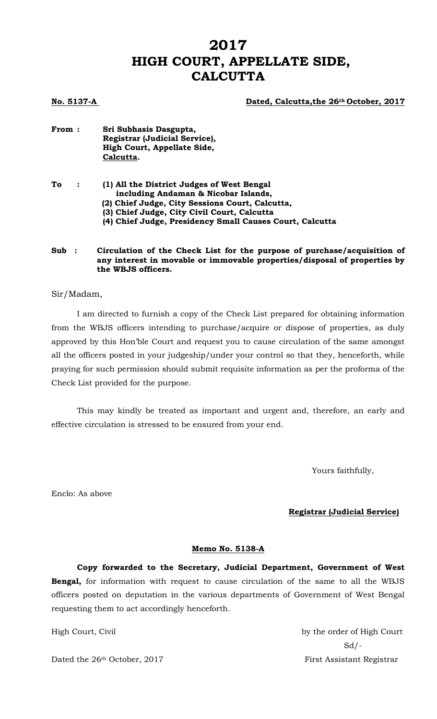# **2017 HIGH COURT, APPELLATE SIDE, CALCUTTA**

#### **No. 5137-A Dated, Calcutta,the 26th October, 2017**

**From : Sri Subhasis Dasgupta, Registrar (Judicial Service), High Court, Appellate Side, Calcutta.**

| To | $\mathbf{r}$ | (1) All the District Judges of West Bengal               |  |
|----|--------------|----------------------------------------------------------|--|
|    |              | including Andaman & Nicobar Islands,                     |  |
|    |              | (2) Chief Judge, City Sessions Court, Calcutta,          |  |
|    |              | (3) Chief Judge, City Civil Court, Calcutta              |  |
|    |              | (4) Chief Judge, Presidency Small Causes Court, Calcutta |  |
|    |              |                                                          |  |

#### **Sub : Circulation of the Check List for the purpose of purchase/acquisition of any interest in movable or immovable properties/disposal of properties by the WBJS officers.**

Sir/Madam,

I am directed to furnish a copy of the Check List prepared for obtaining information from the WBJS officers intending to purchase/acquire or dispose of properties, as duly approved by this Hon'ble Court and request you to cause circulation of the same amongst all the officers posted in your judgeship/under your control so that they, henceforth, while praying for such permission should submit requisite information as per the proforma of the Check List provided for the purpose.

This may kindly be treated as important and urgent and, therefore, an early and effective circulation is stressed to be ensured from your end.

Yours faithfully,

Enclo: As above

#### **Registrar (Judicial Service)**

#### **Memo No. 5138-A**

**Copy forwarded to the Secretary, Judicial Department, Government of West Bengal,** for information with request to cause circulation of the same to all the WBJS officers posted on deputation in the various departments of Government of West Bengal requesting them to act accordingly henceforth.

Dated the 26<sup>th</sup> October, 2017 First Assistant Registrar

High Court, Civil by the order of High Court  $Sd$  /-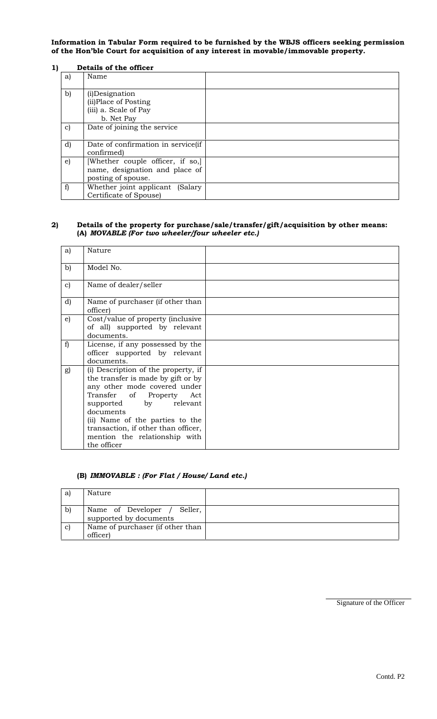**Information in Tabular Form required to be furnished by the WBJS officers seeking permission of the Hon'ble Court for acquisition of any interest in movable/immovable property.**

#### **1) Details of the officer**

| a) | Name                                                                                     |  |
|----|------------------------------------------------------------------------------------------|--|
| b) | (i) Designation<br>(ii) Place of Posting<br>(iii) a. Scale of Pay<br>b. Net Pay          |  |
| c) | Date of joining the service                                                              |  |
| d) | Date of confirmation in service(if<br>confirmed)                                         |  |
| e) | [Whether couple officer, if so,]<br>name, designation and place of<br>posting of spouse. |  |
| f) | Whether joint applicant (Salary<br>Certificate of Spouse)                                |  |

#### **2) Details of the property for purchase/sale/transfer/gift/acquisition by other means: (A)** *MOVABLE (For two wheeler/four wheeler etc.)*

| a)           | Nature                                                                                                                                                                                                                                                                                                   |  |
|--------------|----------------------------------------------------------------------------------------------------------------------------------------------------------------------------------------------------------------------------------------------------------------------------------------------------------|--|
| $\mathbf{b}$ | Model No.                                                                                                                                                                                                                                                                                                |  |
| $\mathbf{c}$ | Name of dealer/seller                                                                                                                                                                                                                                                                                    |  |
| d)           | Name of purchaser (if other than<br>officer)                                                                                                                                                                                                                                                             |  |
| $\epsilon$   | Cost/value of property (inclusive<br>of all) supported by relevant<br>documents.                                                                                                                                                                                                                         |  |
| f)           | License, if any possessed by the<br>officer supported by relevant<br>documents.                                                                                                                                                                                                                          |  |
| g)           | (i) Description of the property, if<br>the transfer is made by gift or by<br>any other mode covered under<br>Transfer of Property Act<br>relevant<br>supported by<br>documents<br>(ii) Name of the parties to the<br>transaction, if other than officer,<br>mention the relationship with<br>the officer |  |

#### **(B)** *IMMOVABLE : (For Flat / House/ Land etc.)*

| a  | Nature                                                   |  |
|----|----------------------------------------------------------|--|
| b  | Name of Developer /<br>Seller.<br>supported by documents |  |
| c) | Name of purchaser (if other than<br>officer)             |  |

Signature of the Officer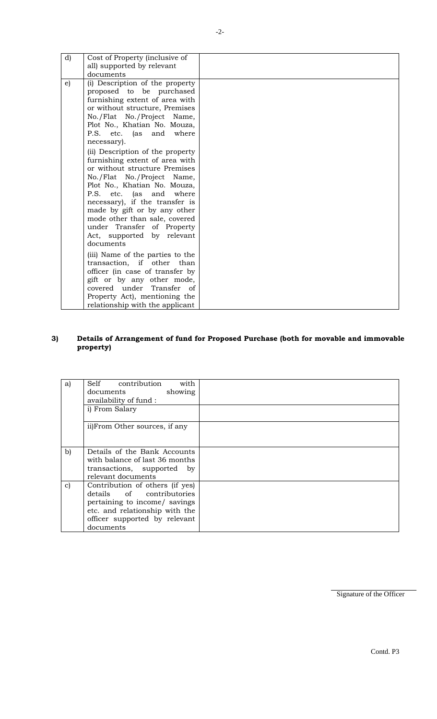| d)         | Cost of Property (inclusive of<br>all) supported by relevant                                                                                                                                                                                                                                                                                                                                                                                                                 |  |
|------------|------------------------------------------------------------------------------------------------------------------------------------------------------------------------------------------------------------------------------------------------------------------------------------------------------------------------------------------------------------------------------------------------------------------------------------------------------------------------------|--|
|            | documents                                                                                                                                                                                                                                                                                                                                                                                                                                                                    |  |
| $\epsilon$ | (i) Description of the property<br>proposed to be purchased<br>furnishing extent of area with<br>or without structure, Premises<br>No./Flat No./Project Name,<br>Plot No., Khatian No. Mouza,<br>P.S. etc. (as and<br>where<br>necessary).<br>(ii) Description of the property<br>furnishing extent of area with<br>or without structure Premises<br>No./Flat No./Project Name,<br>Plot No., Khatian No. Mouza,<br>P.S. etc. (as and where<br>necessary), if the transfer is |  |
|            | made by gift or by any other<br>mode other than sale, covered<br>under Transfer of Property<br>Act, supported by relevant<br>documents                                                                                                                                                                                                                                                                                                                                       |  |
|            | (iii) Name of the parties to the<br>transaction, if other than<br>officer (in case of transfer by<br>gift or by any other mode,<br>covered under Transfer of<br>Property Act), mentioning the<br>relationship with the applicant                                                                                                                                                                                                                                             |  |

## **3) Details of Arrangement of fund for Proposed Purchase (both for movable and immovable property)**

| a)           | with<br>Self contribution<br>showing<br>documents<br>availability of fund:<br>i) From Salary                                                                                  |  |
|--------------|-------------------------------------------------------------------------------------------------------------------------------------------------------------------------------|--|
|              | ii)From Other sources, if any                                                                                                                                                 |  |
| $\mathbf{b}$ | Details of the Bank Accounts<br>with balance of last 36 months<br>transactions, supported by<br>relevant documents                                                            |  |
| $\mathbf{C}$ | Contribution of others (if yes)<br>details of contributories<br>pertaining to income/ savings<br>etc. and relationship with the<br>officer supported by relevant<br>documents |  |

Signature of the Officer